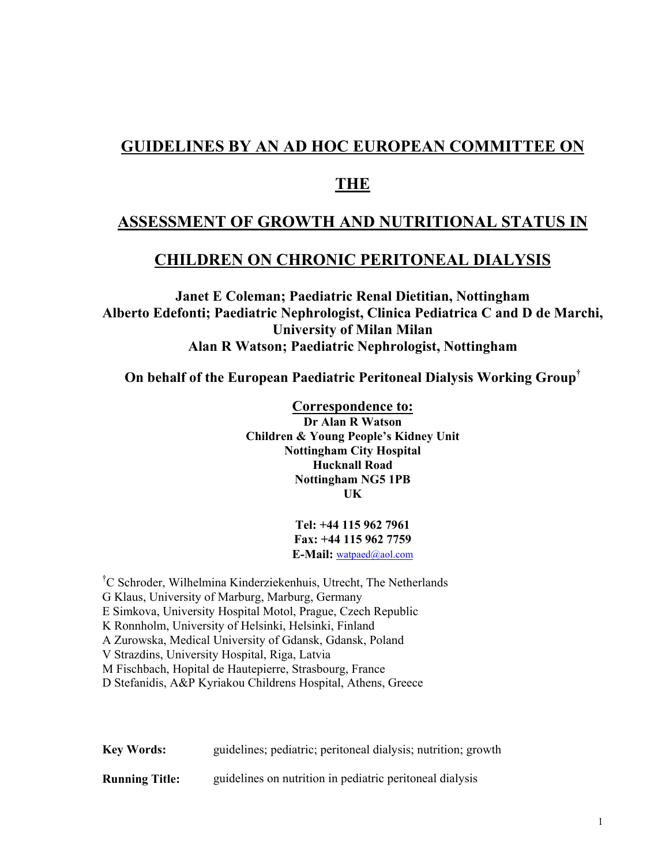# **GUIDELINES BY AN AD HOC EUROPEAN COMMITTEE ON**

## **THE**

# **ASSESSMENT OF GROWTH AND NUTRITIONAL STATUS IN**

## **CHILDREN ON CHRONIC PERITONEAL DIALYSIS**

**Janet E Coleman; Paediatric Renal Dietitian, Nottingham Alberto Edefonti; Paediatric Nephrologist, Clinica Pediatrica C and D de Marchi, University of Milan Milan Alan R Watson; Paediatric Nephrologist, Nottingham** 

**On behalf of the European Paediatric Peritoneal Dialysis Working Group†**

**Correspondence to: Dr Alan R Watson Children & Young People's Kidney Unit Nottingham City Hospital Hucknall Road Nottingham NG5 1PB UK** 

> **Tel: +44 115 962 7961 Fax: +44 115 962 7759 E-Mail:** watpaed@aol.com

† C Schroder, Wilhelmina Kinderziekenhuis, Utrecht, The Netherlands G Klaus, University of Marburg, Marburg, Germany E Simkova, University Hospital Motol, Prague, Czech Republic K Ronnholm, University of Helsinki, Helsinki, Finland A Zurowska, Medical University of Gdansk, Gdansk, Poland V Strazdins, University Hospital, Riga, Latvia M Fischbach, Hopital de Hautepierre, Strasbourg, France D Stefanidis, A&P Kyriakou Childrens Hospital, Athens, Greece

**Key Words:** guidelines; pediatric; peritoneal dialysis; nutrition; growth

**Running Title:** guidelines on nutrition in pediatric peritoneal dialysis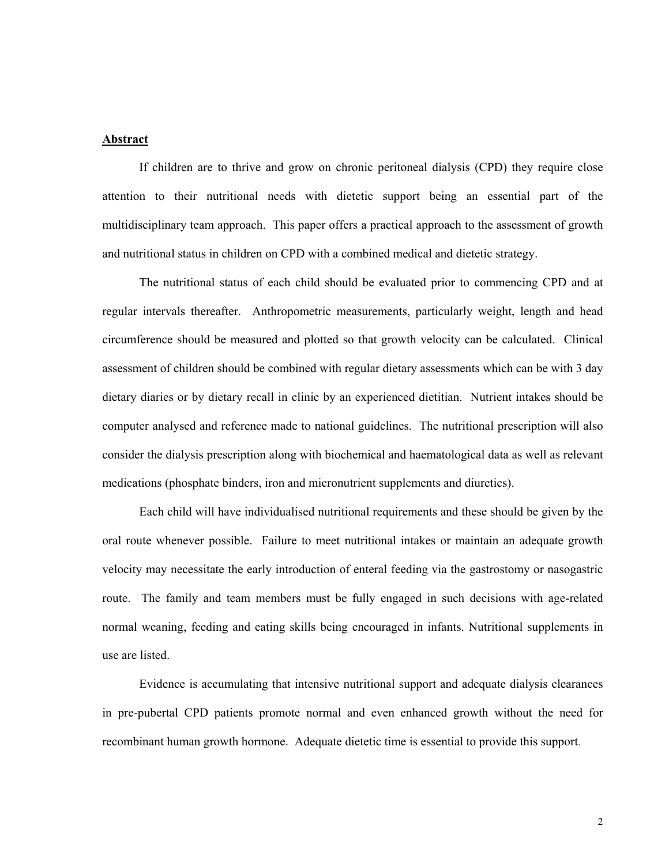#### **Abstract**

If children are to thrive and grow on chronic peritoneal dialysis (CPD) they require close attention to their nutritional needs with dietetic support being an essential part of the multidisciplinary team approach. This paper offers a practical approach to the assessment of growth and nutritional status in children on CPD with a combined medical and dietetic strategy.

 The nutritional status of each child should be evaluated prior to commencing CPD and at regular intervals thereafter. Anthropometric measurements, particularly weight, length and head circumference should be measured and plotted so that growth velocity can be calculated. Clinical assessment of children should be combined with regular dietary assessments which can be with 3 day dietary diaries or by dietary recall in clinic by an experienced dietitian. Nutrient intakes should be computer analysed and reference made to national guidelines. The nutritional prescription will also consider the dialysis prescription along with biochemical and haematological data as well as relevant medications (phosphate binders, iron and micronutrient supplements and diuretics).

 Each child will have individualised nutritional requirements and these should be given by the oral route whenever possible. Failure to meet nutritional intakes or maintain an adequate growth velocity may necessitate the early introduction of enteral feeding via the gastrostomy or nasogastric route. The family and team members must be fully engaged in such decisions with age-related normal weaning, feeding and eating skills being encouraged in infants. Nutritional supplements in use are listed.

 Evidence is accumulating that intensive nutritional support and adequate dialysis clearances in pre-pubertal CPD patients promote normal and even enhanced growth without the need for recombinant human growth hormone. Adequate dietetic time is essential to provide this support.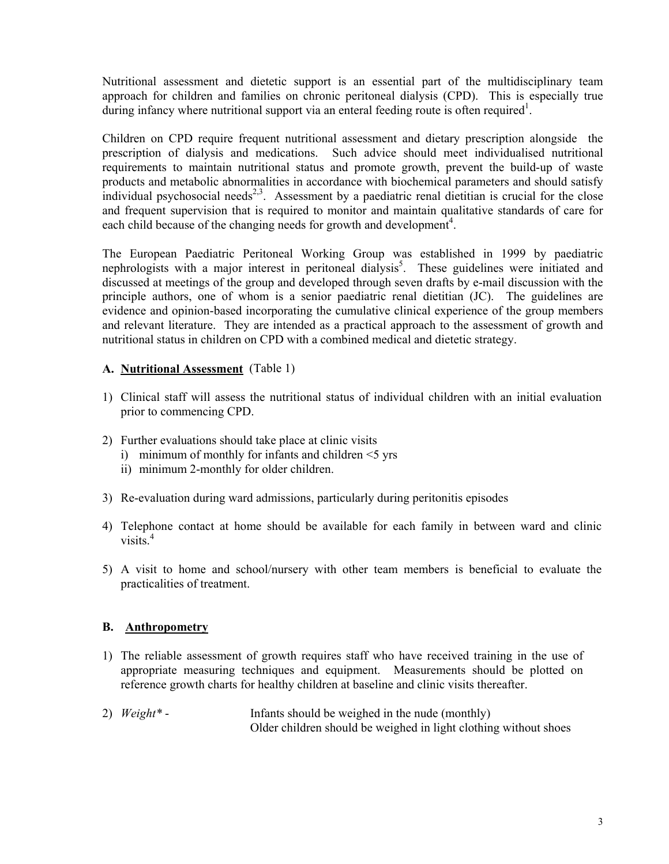Nutritional assessment and dietetic support is an essential part of the multidisciplinary team approach for children and families on chronic peritoneal dialysis (CPD). This is especially true during infancy where nutritional support via an enteral feeding route is often required<sup>1</sup>.

Children on CPD require frequent nutritional assessment and dietary prescription alongside the prescription of dialysis and medications. Such advice should meet individualised nutritional requirements to maintain nutritional status and promote growth, prevent the build-up of waste products and metabolic abnormalities in accordance with biochemical parameters and should satisfy individual psychosocial needs<sup>2,3</sup>. Assessment by a paediatric renal dietitian is crucial for the close and frequent supervision that is required to monitor and maintain qualitative standards of care for each child because of the changing needs for growth and development<sup>4</sup>.

The European Paediatric Peritoneal Working Group was established in 1999 by paediatric nephrologists with a major interest in peritoneal dialysis<sup>5</sup>. These guidelines were initiated and discussed at meetings of the group and developed through seven drafts by e-mail discussion with the principle authors, one of whom is a senior paediatric renal dietitian (JC). The guidelines are evidence and opinion-based incorporating the cumulative clinical experience of the group members and relevant literature. They are intended as a practical approach to the assessment of growth and nutritional status in children on CPD with a combined medical and dietetic strategy.

## **A. Nutritional Assessment** (Table 1)

- 1) Clinical staff will assess the nutritional status of individual children with an initial evaluation prior to commencing CPD.
- 2) Further evaluations should take place at clinic visits
	- i) minimum of monthly for infants and children  $\leq$  yrs
	- ii) minimum 2-monthly for older children.
- 3) Re-evaluation during ward admissions, particularly during peritonitis episodes
- 4) Telephone contact at home should be available for each family in between ward and clinic visits. $4$
- 5) A visit to home and school/nursery with other team members is beneficial to evaluate the practicalities of treatment.

## **B. Anthropometry**

- 1) The reliable assessment of growth requires staff who have received training in the use of appropriate measuring techniques and equipment. Measurements should be plotted on reference growth charts for healthy children at baseline and clinic visits thereafter.
- 2) *Weight\** Infants should be weighed in the nude (monthly) Older children should be weighed in light clothing without shoes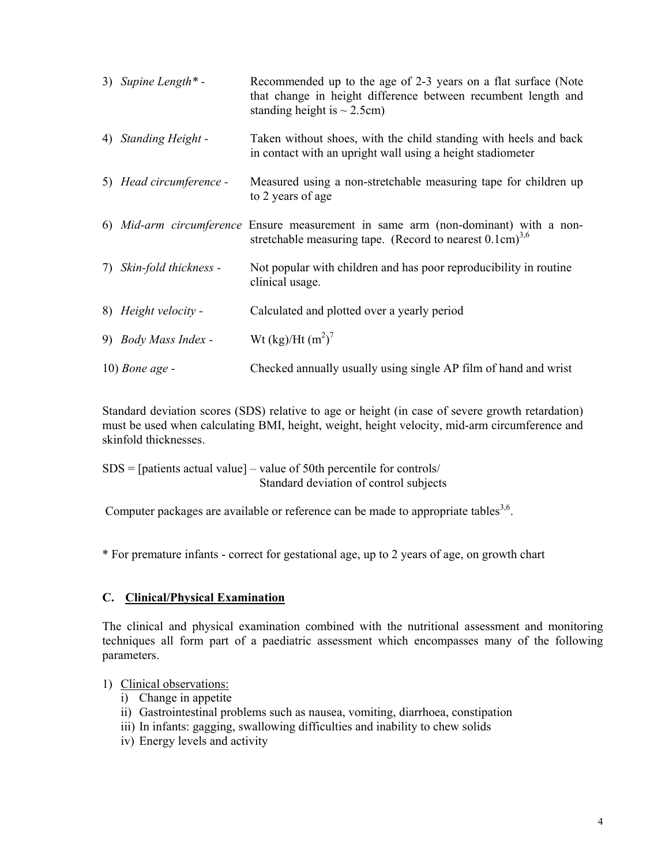|    | 3) Supine Length $*$ -  | Recommended up to the age of 2-3 years on a flat surface (Note<br>that change in height difference between recumbent length and<br>standing height is $\sim$ 2.5cm) |
|----|-------------------------|---------------------------------------------------------------------------------------------------------------------------------------------------------------------|
|    | 4) Standing Height -    | Taken without shoes, with the child standing with heels and back<br>in contact with an upright wall using a height stadiometer                                      |
|    | 5) Head circumference - | Measured using a non-stretchable measuring tape for children up<br>to 2 years of age                                                                                |
|    |                         | 6) Mid-arm circumference Ensure measurement in same arm (non-dominant) with a non-<br>stretchable measuring tape. (Record to nearest $0.1 \text{cm}^{3,6}$ )        |
| 7) | Skin-fold thickness -   | Not popular with children and has poor reproducibility in routine<br>clinical usage.                                                                                |
|    | 8) Height velocity -    | Calculated and plotted over a yearly period                                                                                                                         |
|    | 9) Body Mass Index -    | Wt (kg)/Ht $(m^2)^7$                                                                                                                                                |
|    | $10)$ Bone age -        | Checked annually usually using single AP film of hand and wrist                                                                                                     |

Standard deviation scores (SDS) relative to age or height (in case of severe growth retardation) must be used when calculating BMI, height, weight, height velocity, mid-arm circumference and skinfold thicknesses.

 $SDS =$  [patients actual value] – value of 50th percentile for controls/ Standard deviation of control subjects

Computer packages are available or reference can be made to appropriate tables<sup>3,6</sup>.

\* For premature infants - correct for gestational age, up to 2 years of age, on growth chart

## **C. Clinical/Physical Examination**

The clinical and physical examination combined with the nutritional assessment and monitoring techniques all form part of a paediatric assessment which encompasses many of the following parameters.

## 1) Clinical observations:

- i) Change in appetite
- ii) Gastrointestinal problems such as nausea, vomiting, diarrhoea, constipation
- iii) In infants: gagging, swallowing difficulties and inability to chew solids
- iv) Energy levels and activity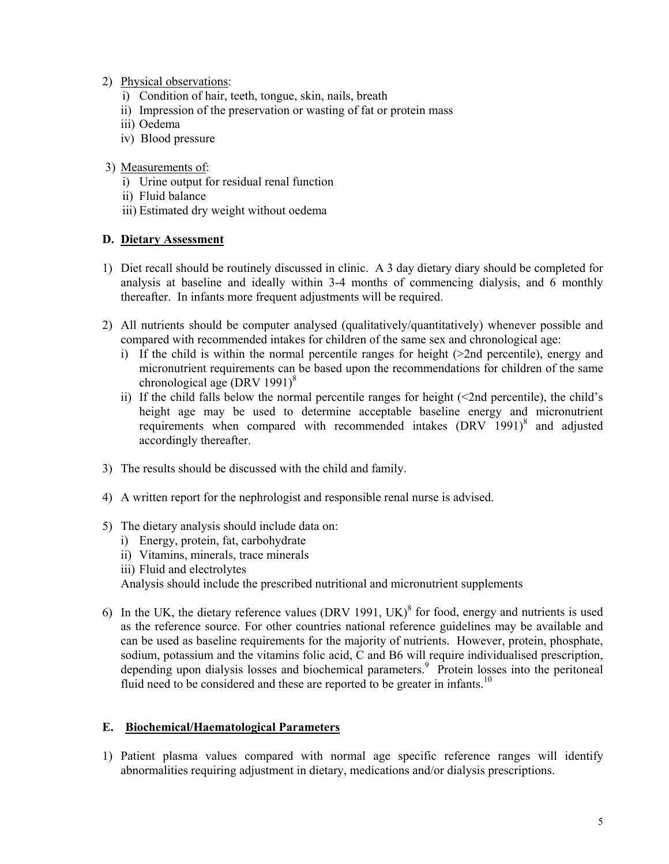- 2) Physical observations:
	- i) Condition of hair, teeth, tongue, skin, nails, breath
	- ii) Impression of the preservation or wasting of fat or protein mass
	- iii) Oedema
	- iv) Blood pressure
- 3) Measurements of:
	- i) Urine output for residual renal function
	- ii) Fluid balance
	- iii) Estimated dry weight without oedema

## **D. Dietary Assessment**

- 1) Diet recall should be routinely discussed in clinic. A 3 day dietary diary should be completed for analysis at baseline and ideally within 3-4 months of commencing dialysis, and 6 monthly thereafter. In infants more frequent adjustments will be required.
- 2) All nutrients should be computer analysed (qualitatively/quantitatively) whenever possible and compared with recommended intakes for children of the same sex and chronological age:
	- i) If the child is within the normal percentile ranges for height (>2nd percentile), energy and micronutrient requirements can be based upon the recommendations for children of the same chronological age (DRV 1991) $8$
	- ii) If the child falls below the normal percentile ranges for height  $(\leq 2nd$  percentile), the child's height age may be used to determine acceptable baseline energy and micronutrient requirements when compared with recommended intakes  $(DRV 1991)^8$  and adjusted accordingly thereafter.
- 3) The results should be discussed with the child and family.
- 4) A written report for the nephrologist and responsible renal nurse is advised.
- 5) The dietary analysis should include data on:
	- i) Energy, protein, fat, carbohydrate
	- ii) Vitamins, minerals, trace minerals
	- iii) Fluid and electrolytes

Analysis should include the prescribed nutritional and micronutrient supplements

6) In the UK, the dietary reference values (DRV 1991, UK) $^8$  for food, energy and nutrients is used as the reference source. For other countries national reference guidelines may be available and can be used as baseline requirements for the majority of nutrients. However, protein, phosphate, sodium, potassium and the vitamins folic acid, C and B6 will require individualised prescription, depending upon dialysis losses and biochemical parameters.<sup>9</sup> Protein losses into the peritoneal fluid need to be considered and these are reported to be greater in infants.<sup>10</sup>

### **E. Biochemical/Haematological Parameters**

1) Patient plasma values compared with normal age specific reference ranges will identify abnormalities requiring adjustment in dietary, medications and/or dialysis prescriptions.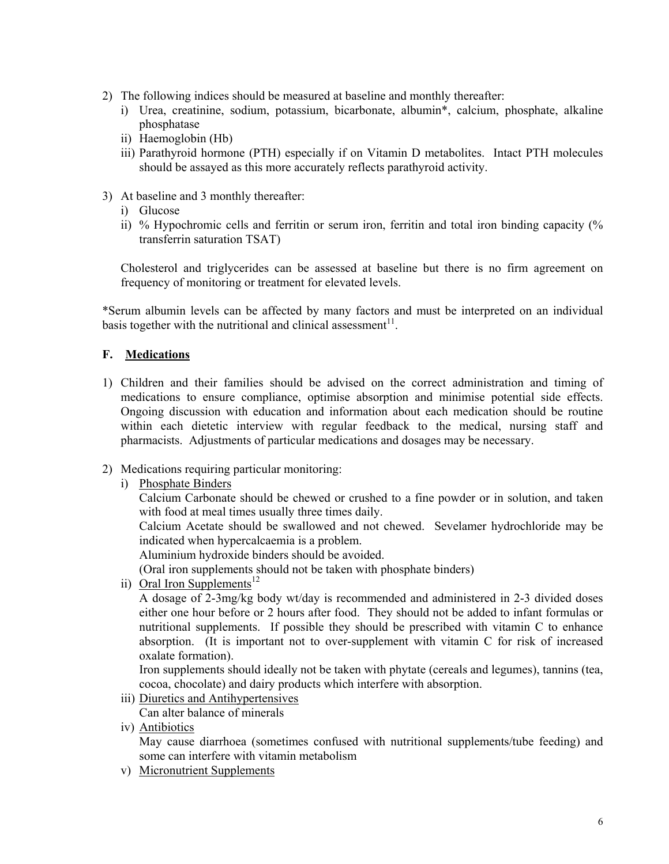- 2) The following indices should be measured at baseline and monthly thereafter:
	- i) Urea, creatinine, sodium, potassium, bicarbonate, albumin\*, calcium, phosphate, alkaline phosphatase
	- ii) Haemoglobin (Hb)
	- iii) Parathyroid hormone (PTH) especially if on Vitamin D metabolites. Intact PTH molecules should be assayed as this more accurately reflects parathyroid activity.
- 3) At baseline and 3 monthly thereafter:
	- i) Glucose
	- ii) % Hypochromic cells and ferritin or serum iron, ferritin and total iron binding capacity (% transferrin saturation TSAT)

 Cholesterol and triglycerides can be assessed at baseline but there is no firm agreement on frequency of monitoring or treatment for elevated levels.

\*Serum albumin levels can be affected by many factors and must be interpreted on an individual basis together with the nutritional and clinical assessment<sup>11</sup>.

## **F. Medications**

- 1) Children and their families should be advised on the correct administration and timing of medications to ensure compliance, optimise absorption and minimise potential side effects. Ongoing discussion with education and information about each medication should be routine within each dietetic interview with regular feedback to the medical, nursing staff and pharmacists. Adjustments of particular medications and dosages may be necessary.
- 2) Medications requiring particular monitoring:
	- i) Phosphate Binders

 Calcium Carbonate should be chewed or crushed to a fine powder or in solution, and taken with food at meal times usually three times daily.

 Calcium Acetate should be swallowed and not chewed. Sevelamer hydrochloride may be indicated when hypercalcaemia is a problem.

Aluminium hydroxide binders should be avoided.

(Oral iron supplements should not be taken with phosphate binders)

ii) Oral Iron Supplements<sup>12</sup>

 A dosage of 2-3mg/kg body wt/day is recommended and administered in 2-3 divided doses either one hour before or 2 hours after food. They should not be added to infant formulas or nutritional supplements. If possible they should be prescribed with vitamin C to enhance absorption. (It is important not to over-supplement with vitamin C for risk of increased oxalate formation).

 Iron supplements should ideally not be taken with phytate (cereals and legumes), tannins (tea, cocoa, chocolate) and dairy products which interfere with absorption.

- iii) Diuretics and Antihypertensives Can alter balance of minerals
- iv) Antibiotics

 May cause diarrhoea (sometimes confused with nutritional supplements/tube feeding) and some can interfere with vitamin metabolism

v) Micronutrient Supplements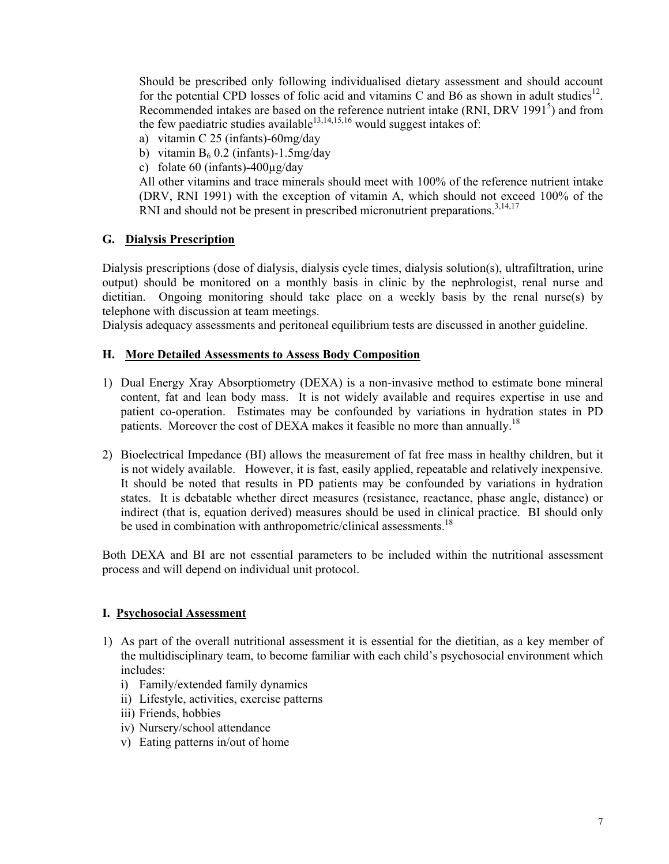Should be prescribed only following individualised dietary assessment and should account for the potential CPD losses of folic acid and vitamins C and B6 as shown in adult studies<sup>12</sup>. Recommended intakes are based on the reference nutrient intake (RNI, DRV 1991 $<sup>5</sup>$ ) and from</sup> the few paediatric studies available $^{13,14,15,16}$  would suggest intakes of:

- a) vitamin C 25 (infants)-60mg/day
- b) vitamin  $B_6$  0.2 (infants)-1.5mg/day
- c) folate 60 (infants)-400µg/day

 All other vitamins and trace minerals should meet with 100% of the reference nutrient intake (DRV, RNI 1991) with the exception of vitamin A, which should not exceed 100% of the RNI and should not be present in prescribed micronutrient preparations.<sup>3,14,17</sup>

### **G. Dialysis Prescription**

Dialysis prescriptions (dose of dialysis, dialysis cycle times, dialysis solution(s), ultrafiltration, urine output) should be monitored on a monthly basis in clinic by the nephrologist, renal nurse and dietitian. Ongoing monitoring should take place on a weekly basis by the renal nurse(s) by telephone with discussion at team meetings.

Dialysis adequacy assessments and peritoneal equilibrium tests are discussed in another guideline.

#### **H. More Detailed Assessments to Assess Body Composition**

- 1) Dual Energy Xray Absorptiometry (DEXA) is a non-invasive method to estimate bone mineral content, fat and lean body mass. It is not widely available and requires expertise in use and patient co-operation. Estimates may be confounded by variations in hydration states in PD patients. Moreover the cost of DEXA makes it feasible no more than annually.<sup>18</sup>
- 2) Bioelectrical Impedance (BI) allows the measurement of fat free mass in healthy children, but it is not widely available. However, it is fast, easily applied, repeatable and relatively inexpensive. It should be noted that results in PD patients may be confounded by variations in hydration states. It is debatable whether direct measures (resistance, reactance, phase angle, distance) or indirect (that is, equation derived) measures should be used in clinical practice. BI should only be used in combination with anthropometric/clinical assessments.<sup>18</sup>

Both DEXA and BI are not essential parameters to be included within the nutritional assessment process and will depend on individual unit protocol.

#### **I. Psychosocial Assessment**

- 1) As part of the overall nutritional assessment it is essential for the dietitian, as a key member of the multidisciplinary team, to become familiar with each child's psychosocial environment which includes:
	- i) Family/extended family dynamics
	- ii) Lifestyle, activities, exercise patterns
	- iii) Friends, hobbies
	- iv) Nursery/school attendance
	- v) Eating patterns in/out of home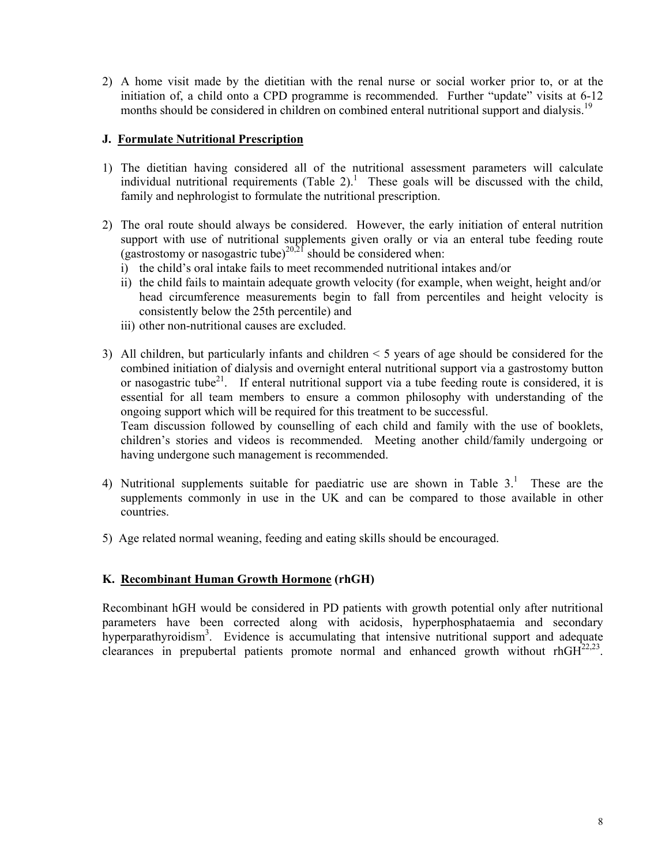2) A home visit made by the dietitian with the renal nurse or social worker prior to, or at the initiation of, a child onto a CPD programme is recommended. Further "update" visits at 6-12 months should be considered in children on combined enteral nutritional support and dialysis.<sup>19</sup>

## **J. Formulate Nutritional Prescription**

- 1) The dietitian having considered all of the nutritional assessment parameters will calculate individual nutritional requirements  $(Table 2)$ .<sup>1</sup> These goals will be discussed with the child, family and nephrologist to formulate the nutritional prescription.
- 2) The oral route should always be considered. However, the early initiation of enteral nutrition support with use of nutritional supplements given orally or via an enteral tube feeding route (gastrostomy or nasogastric tube) $20,21$  should be considered when:
	- i) the child's oral intake fails to meet recommended nutritional intakes and/or
	- ii) the child fails to maintain adequate growth velocity (for example, when weight, height and/or head circumference measurements begin to fall from percentiles and height velocity is consistently below the 25th percentile) and
	- iii) other non-nutritional causes are excluded.
- 3) All children, but particularly infants and children < 5 years of age should be considered for the combined initiation of dialysis and overnight enteral nutritional support via a gastrostomy button or nasogastric tube<sup>21</sup>. If enteral nutritional support via a tube feeding route is considered, it is essential for all team members to ensure a common philosophy with understanding of the ongoing support which will be required for this treatment to be successful.

 Team discussion followed by counselling of each child and family with the use of booklets, children's stories and videos is recommended. Meeting another child/family undergoing or having undergone such management is recommended.

- 4) Nutritional supplements suitable for paediatric use are shown in Table  $3<sup>1</sup>$ . These are the supplements commonly in use in the UK and can be compared to those available in other countries.
- 5) Age related normal weaning, feeding and eating skills should be encouraged.

## **K. Recombinant Human Growth Hormone (rhGH)**

Recombinant hGH would be considered in PD patients with growth potential only after nutritional parameters have been corrected along with acidosis, hyperphosphataemia and secondary hyperparathyroidism<sup>3</sup>. Evidence is accumulating that intensive nutritional support and adequate clearances in prepubertal patients promote normal and enhanced growth without rh $GH^{22,23}$ .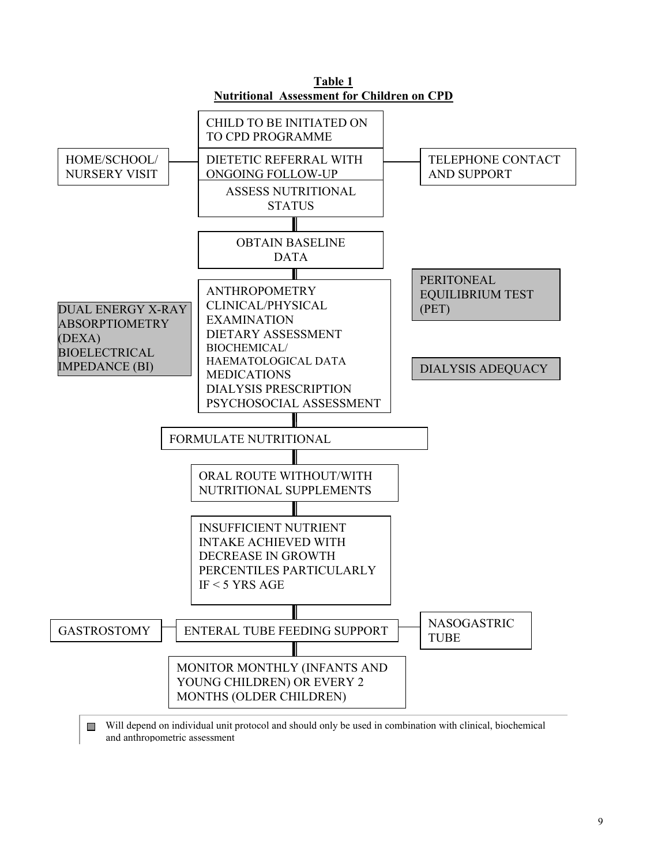

 Will depend on individual unit protocol and should only be used in combination with clinical, biochemical and anthropometric assessment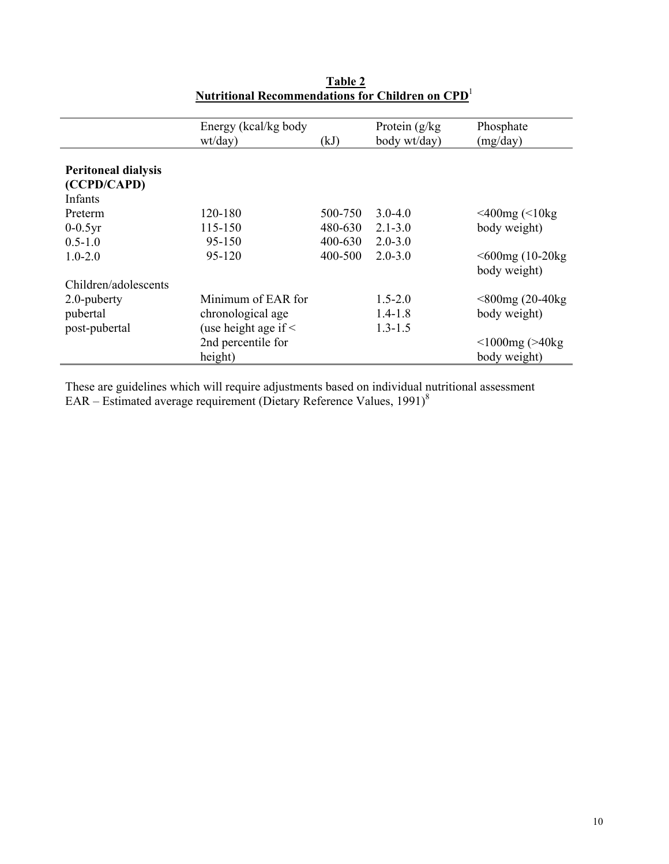|                            | Energy (kcal/kg body)     |         | Protein $(g/kg)$ | Phosphate             |
|----------------------------|---------------------------|---------|------------------|-----------------------|
|                            | wt/day)                   | (kJ)    | body wt/day)     | (mg/day)              |
|                            |                           |         |                  |                       |
| <b>Peritoneal dialysis</b> |                           |         |                  |                       |
| (CCPD/CAPD)                |                           |         |                  |                       |
| Infants                    |                           |         |                  |                       |
| Preterm                    | 120-180                   | 500-750 | $3.0 - 4.0$      | $<$ 400mg ( $<$ 10kg  |
| $0-0.5yr$                  | 115-150                   | 480-630 | $2.1 - 3.0$      | body weight)          |
| $0.5 - 1.0$                | 95-150                    | 400-630 | $2.0 - 3.0$      |                       |
| $1.0 - 2.0$                | 95-120                    | 400-500 | $20-30$          | $<$ 600mg (10-20 $kg$ |
|                            |                           |         |                  | body weight)          |
| Children/adolescents       |                           |         |                  |                       |
| 2.0-puberty                | Minimum of EAR for        |         | $1.5 - 2.0$      | $<800$ mg (20-40kg)   |
| pubertal                   | chronological age         |         | $1.4 - 1.8$      | body weight)          |
| post-pubertal              | (use height age if $\leq$ |         | $1.3 - 1.5$      |                       |
|                            | 2nd percentile for        |         |                  | $<$ 1000mg ( $>$ 40kg |
|                            | height)                   |         |                  | body weight)          |

**Table 2 Nutritional Recommendations for Children on CPD**<sup>1</sup>

These are guidelines which will require adjustments based on individual nutritional assessment EAR – Estimated average requirement (Dietary Reference Values, 1991)<sup>8</sup>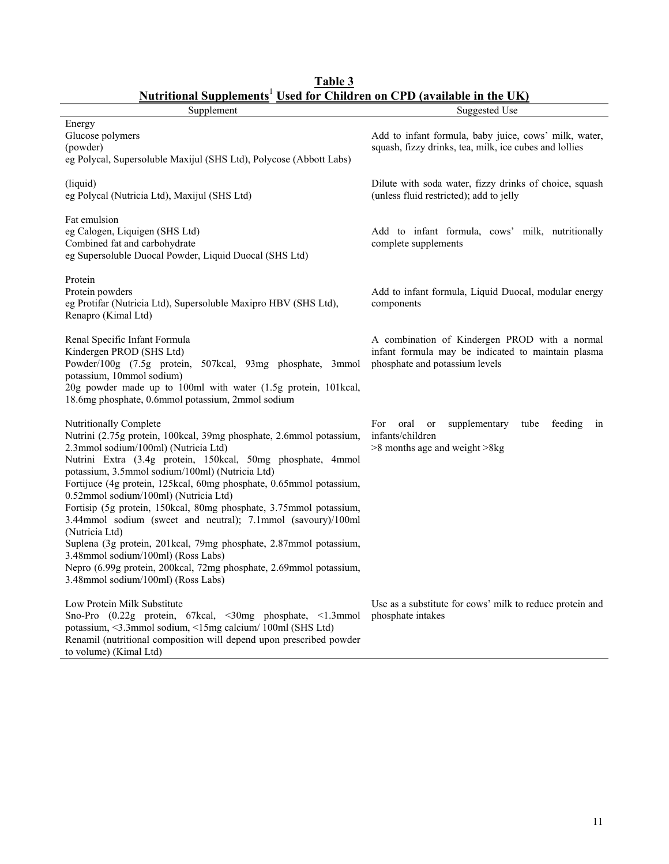| гчиншлагэчрришинэ<br>U5UU 101<br>Supplement                                                                                                                                                                                                                                                                                                                                                                                                                                                                                                                                                                                                                                                                                                            | VШ<br>(avanavit in tiit UIX)<br>Suggested Use                                                                                         |
|--------------------------------------------------------------------------------------------------------------------------------------------------------------------------------------------------------------------------------------------------------------------------------------------------------------------------------------------------------------------------------------------------------------------------------------------------------------------------------------------------------------------------------------------------------------------------------------------------------------------------------------------------------------------------------------------------------------------------------------------------------|---------------------------------------------------------------------------------------------------------------------------------------|
| Energy<br>Glucose polymers<br>(powder)                                                                                                                                                                                                                                                                                                                                                                                                                                                                                                                                                                                                                                                                                                                 | Add to infant formula, baby juice, cows' milk, water,<br>squash, fizzy drinks, tea, milk, ice cubes and lollies                       |
| eg Polycal, Supersoluble Maxijul (SHS Ltd), Polycose (Abbott Labs)<br>(liquid)                                                                                                                                                                                                                                                                                                                                                                                                                                                                                                                                                                                                                                                                         | Dilute with soda water, fizzy drinks of choice, squash                                                                                |
| eg Polycal (Nutricia Ltd), Maxijul (SHS Ltd)<br>Fat emulsion                                                                                                                                                                                                                                                                                                                                                                                                                                                                                                                                                                                                                                                                                           | (unless fluid restricted); add to jelly                                                                                               |
| eg Calogen, Liquigen (SHS Ltd)<br>Combined fat and carbohydrate<br>eg Supersoluble Duocal Powder, Liquid Duocal (SHS Ltd)                                                                                                                                                                                                                                                                                                                                                                                                                                                                                                                                                                                                                              | Add to infant formula, cows' milk, nutritionally<br>complete supplements                                                              |
| Protein<br>Protein powders<br>eg Protifar (Nutricia Ltd), Supersoluble Maxipro HBV (SHS Ltd),<br>Renapro (Kimal Ltd)                                                                                                                                                                                                                                                                                                                                                                                                                                                                                                                                                                                                                                   | Add to infant formula, Liquid Duocal, modular energy<br>components                                                                    |
| Renal Specific Infant Formula<br>Kindergen PROD (SHS Ltd)<br>Powder/100g (7.5g protein, 507kcal, 93mg phosphate, 3mmol<br>potassium, 10mmol sodium)<br>20g powder made up to 100ml with water (1.5g protein, 101kcal,<br>18.6mg phosphate, 0.6mmol potassium, 2mmol sodium                                                                                                                                                                                                                                                                                                                                                                                                                                                                             | A combination of Kindergen PROD with a normal<br>infant formula may be indicated to maintain plasma<br>phosphate and potassium levels |
| Nutritionally Complete<br>Nutrini (2.75g protein, 100kcal, 39mg phosphate, 2.6mmol potassium,<br>2.3mmol sodium/100ml) (Nutricia Ltd)<br>Nutrini Extra (3.4g protein, 150kcal, 50mg phosphate, 4mmol<br>potassium, 3.5mmol sodium/100ml) (Nutricia Ltd)<br>Fortijuce (4g protein, 125kcal, 60mg phosphate, 0.65mmol potassium,<br>0.52mmol sodium/100ml) (Nutricia Ltd)<br>Fortisip (5g protein, 150kcal, 80mg phosphate, 3.75mmol potassium,<br>3.44mmol sodium (sweet and neutral); 7.1mmol (savoury)/100ml<br>(Nutricia Ltd)<br>Suplena (3g protein, 201kcal, 79mg phosphate, 2.87mmol potassium,<br>3.48mmol sodium/100ml) (Ross Labs)<br>Nepro (6.99g protein, 200kcal, 72mg phosphate, 2.69mmol potassium,<br>3.48mmol sodium/100ml) (Ross Labs) | For oral<br>supplementary<br>feeding<br>or<br>tube<br>in<br>infants/children<br>$>8$ months age and weight $>8$ kg                    |
| Low Protein Milk Substitute<br>Sno-Pro (0.22g protein, 67kcal, <30mg phosphate, <1.3mmol<br>potassium, <3.3mmol sodium, <15mg calcium/100ml (SHS Ltd)<br>Renamil (nutritional composition will depend upon prescribed powder<br>to volume) (Kimal Ltd)                                                                                                                                                                                                                                                                                                                                                                                                                                                                                                 | Use as a substitute for cows' milk to reduce protein and<br>phosphate intakes                                                         |

**Table 3 Nutritional Supplements**<sup>1</sup> **Used for Children on CPD (available in the UK)**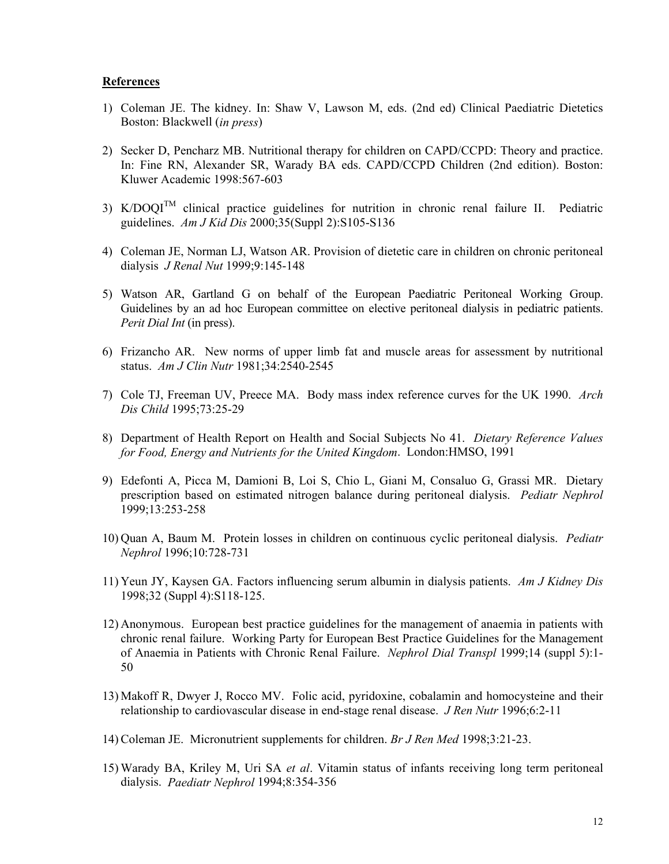#### **References**

- 1) Coleman JE. The kidney. In: Shaw V, Lawson M, eds. (2nd ed) Clinical Paediatric Dietetics Boston: Blackwell (*in press*)
- 2) Secker D, Pencharz MB. Nutritional therapy for children on CAPD/CCPD: Theory and practice. In: Fine RN, Alexander SR, Warady BA eds. CAPD/CCPD Children (2nd edition). Boston: Kluwer Academic 1998:567-603
- 3)  $K/DOOI<sup>TM</sup>$  clinical practice guidelines for nutrition in chronic renal failure II. Pediatric guidelines. *Am J Kid Dis* 2000;35(Suppl 2):S105-S136
- 4) Coleman JE, Norman LJ, Watson AR. Provision of dietetic care in children on chronic peritoneal dialysis *J Renal Nut* 1999;9:145-148
- 5) Watson AR, Gartland G on behalf of the European Paediatric Peritoneal Working Group. Guidelines by an ad hoc European committee on elective peritoneal dialysis in pediatric patients. *Perit Dial Int* (in press).
- 6) Frizancho AR. New norms of upper limb fat and muscle areas for assessment by nutritional status. *Am J Clin Nutr* 1981;34:2540-2545
- 7) Cole TJ, Freeman UV, Preece MA. Body mass index reference curves for the UK 1990. *Arch Dis Child* 1995;73:25-29
- 8) Department of Health Report on Health and Social Subjects No 41. *Dietary Reference Values for Food, Energy and Nutrients for the United Kingdom*. London:HMSO, 1991
- 9) Edefonti A, Picca M, Damioni B, Loi S, Chio L, Giani M, Consaluo G, Grassi MR. Dietary prescription based on estimated nitrogen balance during peritoneal dialysis. *Pediatr Nephrol* 1999;13:253-258
- 10) Quan A, Baum M. Protein losses in children on continuous cyclic peritoneal dialysis. *Pediatr Nephrol* 1996;10:728-731
- 11) Yeun JY, Kaysen GA. Factors influencing serum albumin in dialysis patients. *Am J Kidney Dis* 1998;32 (Suppl 4):S118-125.
- 12) Anonymous. European best practice guidelines for the management of anaemia in patients with chronic renal failure. Working Party for European Best Practice Guidelines for the Management of Anaemia in Patients with Chronic Renal Failure. *Nephrol Dial Transpl* 1999;14 (suppl 5):1- 50
- 13) Makoff R, Dwyer J, Rocco MV. Folic acid, pyridoxine, cobalamin and homocysteine and their relationship to cardiovascular disease in end-stage renal disease. *J Ren Nutr* 1996;6:2-11
- 14) Coleman JE. Micronutrient supplements for children. *Br J Ren Med* 1998;3:21-23.
- 15) Warady BA, Kriley M, Uri SA *et al*. Vitamin status of infants receiving long term peritoneal dialysis. *Paediatr Nephrol* 1994;8:354-356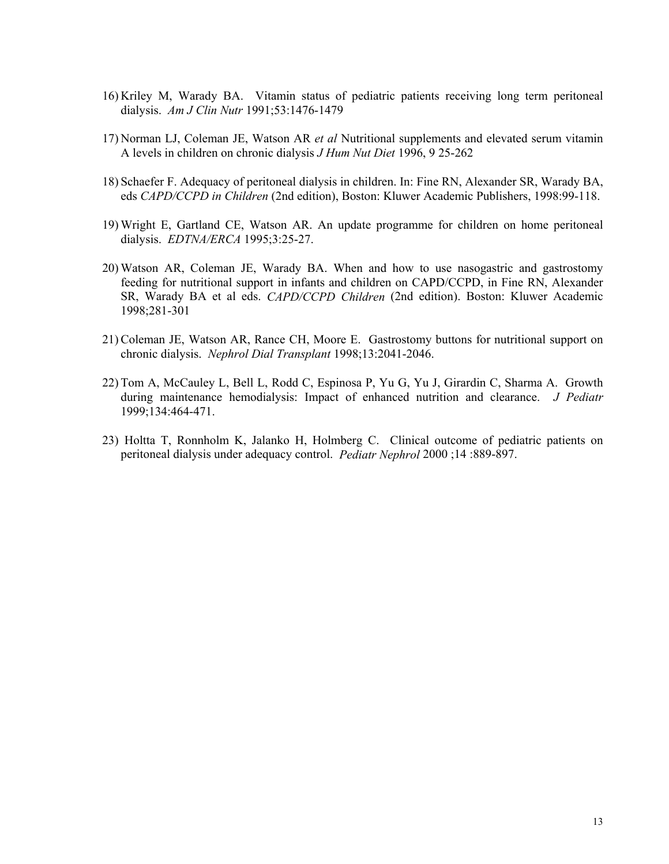- 16) Kriley M, Warady BA. Vitamin status of pediatric patients receiving long term peritoneal dialysis. *Am J Clin Nutr* 1991;53:1476-1479
- 17) Norman LJ, Coleman JE, Watson AR *et al* Nutritional supplements and elevated serum vitamin A levels in children on chronic dialysis *J Hum Nut Diet* 1996, 9 25-262
- 18) Schaefer F. Adequacy of peritoneal dialysis in children. In: Fine RN, Alexander SR, Warady BA, eds *CAPD/CCPD in Children* (2nd edition), Boston: Kluwer Academic Publishers, 1998:99-118.
- 19) Wright E, Gartland CE, Watson AR. An update programme for children on home peritoneal dialysis. *EDTNA/ERCA* 1995;3:25-27.
- 20) Watson AR, Coleman JE, Warady BA. When and how to use nasogastric and gastrostomy feeding for nutritional support in infants and children on CAPD/CCPD, in Fine RN, Alexander SR, Warady BA et al eds. *CAPD/CCPD Children* (2nd edition). Boston: Kluwer Academic 1998;281-301
- 21) Coleman JE, Watson AR, Rance CH, Moore E. Gastrostomy buttons for nutritional support on chronic dialysis. *Nephrol Dial Transplant* 1998;13:2041-2046.
- 22) Tom A, McCauley L, Bell L, Rodd C, Espinosa P, Yu G, Yu J, Girardin C, Sharma A. Growth during maintenance hemodialysis: Impact of enhanced nutrition and clearance. *J Pediatr* 1999;134:464-471.
- 23) Holtta T, Ronnholm K, Jalanko H, Holmberg C. Clinical outcome of pediatric patients on peritoneal dialysis under adequacy control. *Pediatr Nephrol* 2000 ;14 :889-897.